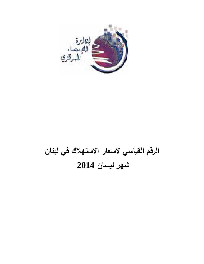

# **الرقم القياسي لاسعار الاستهلاك في لبنان شهر نيسان 2014**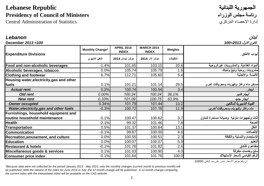# الجمهورية اللبنانية **Republic Lebanese Presidency of Council of Ministers** الوزراء مجلس رئاسة

Central Administration of Statistics

لبنان *Lebanon*

| December 2013=100                         |                        |                                   |                                   |           | كانون الاول 2013=100                      |
|-------------------------------------------|------------------------|-----------------------------------|-----------------------------------|-----------|-------------------------------------------|
| <b>Expenditure Divisions</b>              | <b>Monthly Change*</b> | <b>APRIL 2014</b><br><b>INDEX</b> | <b>MARCH 2014</b><br><b>INDEX</b> | Weights   | أبواب الانفاق                             |
|                                           | التغير الشهري          | مؤشر نيسان 2014                   | مؤشر آذار 2014                    | التثقيلات |                                           |
| Food and non-alcoholic beverages          | $-1.4%$                | 101.65                            | 103.10                            | 20.6      | المواد الغذانية والمشروبات غيرالروحية     |
| Alcoholic beverages, tobacco              | 0.0%                   | 105.74                            | 105.79                            | 1.6       | مشروبات روحية وتبغ وتنباك                 |
| <b>Clothing and footwear</b>              | 6.7%                   | 112.71                            | 105.60                            | 5.4       | الألبسة والأحذية                          |
| Housing water, electricity, gas and other |                        |                                   |                                   |           |                                           |
| fuels                                     | 0.1%                   | 101.21                            | 101.14                            | 28.5      | مسكن ماء وغاز وكهرباء ومحروقات أخرى       |
| <b>Actual rent</b>                        | 0.2%                   | 100.74                            | 100.54                            | 3.4       | ايجار                                     |
| <b>Old rent</b>                           | 0.00%                  | 100.24                            | 100.24                            | 36.1%     | ايجار قديم                                |
| <b>New rent</b>                           | 0.33%                  | 101.09                            | 100.75                            | 63.9%     | ايجار جديد                                |
| <b>Owner occupied</b>                     | 0.34%                  | 101.79                            | 101.44                            | 13.2      | القيمة التاجيرية للمالكين                 |
| Water, electricity, gas and other fuels   | $-0.3%$                | 100.72                            | 101.16                            | 11.9      | ماء وغاز وكهرباء ومحروقات أخرى            |
| Furnishings, household equipment and      |                        |                                   |                                   |           |                                           |
| routine household maintenance             | $-0.1%$                | 100.47                            | 100.62                            | 3.7       | أثاث وتجهيزات منزلية وصيانة مستمرة للمنزل |
| <b>Health</b>                             | $-2.1%$                | 99.32                             | 101.46                            | 7.8       | الصحة                                     |
| <b>Transportation</b>                     | 0.5%                   | 101.37                            | 100.84                            | 13.1      | النقل                                     |
| <b>Communication</b>                      | $-0.1%$                | 99.87                             | 100.00                            | 4.6       | الإتصالات                                 |
| Recreation, amusement, and culture        | 0.0%                   | 100.55                            | 100.51                            | 2.3       | الإستجمام والتسلية والثقافة               |
| <b>Education</b>                          | 0.0%                   | 100.07                            | 100.07                            | 5.9       | التعليم                                   |
| <b>Restaurant &amp; hotels</b>            | $-0.1%$                | 101.76                            | 101.82                            | 2.6       | مطاعم و فنادق                             |
| Miscellaneous goods & services            | 0.1%                   | 101.03                            | 100.90                            | 4.0       | سلع وخدمات متفرقة                         |
| <b>Consumer price index</b>               | $-0.1%$                | 101.64                            | 101.76                            | 100.0     | الرقم القياسي لأسعار الإستهلاك            |

ان رقم مؤشر الأسعار مدور على حد *1*على *10000*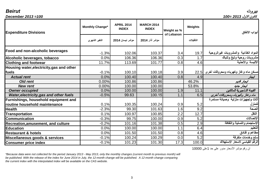بيروت *Beirut* كانون الاول *2013 =100 100= 2013 December*

| <b>Expenditure Divisions</b>                       | <b>Monthly Change*</b> | <b>APRIL 2014</b><br><b>INDEX</b> | <b>MARCH 2014</b><br><b>INDEX</b> | Weight as %<br>of Lebanon | Weights   | أبواب الانفاق                         |
|----------------------------------------------------|------------------------|-----------------------------------|-----------------------------------|---------------------------|-----------|---------------------------------------|
|                                                    | التغير الشهرى          | مؤشر نيسان 2014                   | مؤشر آذار 2014                    |                           | التثقيلات |                                       |
| Food and non-alcoholic beverages                   | $-1.3%$                | 102.06                            | 103.37                            | 3.4                       | 19.7      | المواد الغذائية والمشروبات غيرالروحية |
| Alcoholic beverages, tobacco                       | 0.0%                   | 106.36                            | 106.36                            | 0.3                       | 1.7       | مشروبات روحية وتبغ وتنباك             |
| <b>Clothing and footwear</b>                       | 11.7%                  | 113.69                            | 101.77                            | 0.8                       | 4.6       | الألبسة والأحذية                      |
| Housing water, electricity, gas and other<br>fuels | $-0.1%$                | 100.10                            | 100.18                            | 3.9                       | 22.5      | مسكن ماء وغاز وكهرباء ومحروقات أخرى   |
| <b>Actual rent</b>                                 | 0.0%                   | 100.40                            | 100.40                            | 0.8                       | 4.9       | ايجار                                 |
| <b>Old rent</b>                                    | 0.00%                  | 100.86                            | 100.86                            |                           | 46.2%     | ايجار قديم                            |
| <b>New rent</b>                                    | 0.00%                  | 100.00                            | 100.00                            |                           | 53.8%     | ايجار جديد                            |
| <b>Owner occupied</b>                              | 0.0%                   | 100.00                            | 100.00                            | 1.9                       | 11.1      | القيمة التـاجيرية للمالكين            |
| <b>Water, electricity, gas and other fuels</b>     | $-0.5%$                | 99.63                             | 100.15                            | 1.1                       | 6.5       | ماء وغاز وكهرباء ومحروقات أخرى        |
| Furnishings, household equipment and               |                        |                                   |                                   |                           |           | أثاث وتجهيزات منزلية وصيانة مستمرة    |
| routine household maintenance                      | 0.1%                   | 100.35                            | 100.24                            | 0.9                       | 5.2       | للمنزل                                |
| <b>Health</b>                                      | $-2.3%$                | 99.30                             | 101.63                            | 1.6                       | 9.2       | الصحة                                 |
| <b>Transportation</b>                              | 0.1%                   | 100.97                            | 100.85                            | 2.2                       | 12.7      | النقل                                 |
| <b>Communication</b>                               | $-0.3%$                | 99.75                             | 100.00                            | 0.9                       | 5.2       | الإتصالات                             |
| Recreation, amusement, and culture                 | $-0.2%$                | 101.16                            | 101.38                            | 0.5                       | 2.9       | الإستجمام والتسلية والثقافة           |
| <b>Education</b>                                   | 0.0%                   | 100.00                            | 100.00                            | 1.1                       | 6.4       | التعليم                               |
| <b>Restaurant &amp; hotels</b>                     | 0.0%                   | 101.50                            | 101.50                            | 0.8                       | 4.6       | مطاعم و فنادق                         |
| Miscellaneous goods & services                     | $-0.1%$                | 100.24                            | 100.29                            | 0.0                       | 5.2       | سلع وخدمات متفرقة                     |
| <b>Consumer price index</b>                        | $-0.1%$                | 101.23                            | 101.30                            | 17.3                      | 100.0     | الرقم القياسي لأسعار الإستهلاك        |

ان رقم مؤشر الأسعار مدور على حد 1على 10000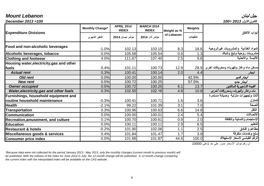| December 2013=100                                                     |                        |                                   |                                   |             |           | كانون الاول 2013 =100                              |
|-----------------------------------------------------------------------|------------------------|-----------------------------------|-----------------------------------|-------------|-----------|----------------------------------------------------|
|                                                                       | <b>Monthly Change*</b> | <b>APRIL 2014</b><br><b>INDEX</b> | <b>MARCH 2014</b><br><b>INDEX</b> | Weight as % | Weights   | أبواب الانفاق                                      |
| <b>Expenditure Divisions</b>                                          | التغير الشهري          | مؤشر نيسان 2014                   | مؤشر آذار 2014                    | of Lebanon  | التثقيلات |                                                    |
| Food and non-alcoholic beverages                                      | $-1.0%$                | 102.13                            | 103.15                            | 8.3         | 18.6      | المواد الغذائية والمشروبات غيرالروحية              |
| Alcoholic beverages, tobacco                                          | 0.0%                   | 105.58                            | 105.54                            | 0.6         | 1.3       | مشروبات روحية وتبغ وتنباك                          |
| <b>Clothing and footwear</b>                                          | 4.0%                   | 111.67                            | 107.40                            | 2.5         | 5.6       | الألبسة والأحذية                                   |
| Housing water, electricity, gas and other<br>fuels                    | 0.4%                   | 101.11                            | 100.73                            | 12.9        |           | مسكن ماء وغاز وكهرباء ومحروقات أخرى $\,$ 28.9 $\,$ |
| <b>Actual rent</b>                                                    | 0.3%                   | 100.41                            | 100.14                            | 2.0         | 4.4       | ايجار                                              |
| <b>Old rent</b>                                                       | 0.0%                   | 100.00                            | 100.00                            |             | 42.5%     | ايجار قديم                                         |
| <b>New rent</b>                                                       | 0.5%                   | 100.72                            | 100.25                            |             | 57.5%     | ايجار جديد                                         |
| <b>Owner occupied</b>                                                 | 0.5%                   | 100.72                            | 100.25                            | 6.1         | 13.7      | القيمة التـاجيرية للمالكين                         |
| Water, electricity, gas and other fuels                               | 0.3%                   | 102.50                            | 102.16                            | 4.8         | 10.8      | ماء وغاز وكهرباء ومحروقات أخرى                     |
| Furnishings, household equipment and<br>routine household maintenance | $-0.3%$                | 100.41                            | 100.71                            | 1.6         | 3.6       | أثاث وتجهيزات منزلية وصيانة مستمرة<br>للمنزل       |
| <b>Health</b>                                                         | $-2.1%$                | 99.22                             | 101.39                            | 3.1         | 7.0       | الصحة                                              |
| <b>Transportation</b>                                                 | 0.3%                   | 100.96                            | 100.63                            | 6.6         | 14.8      | النقل                                              |
| <b>Communication</b>                                                  | 0.0%                   | 100.00                            | 100.01                            | 2.4         | 5.4       | الإتصالات                                          |
| Recreation, amusement, and culture                                    | 0.1%                   | 100.70                            | 100.61                            | 0.9         | 2.0       | الإستجمام والتسلية والثقافة                        |
| <b>Education</b>                                                      | 0.0%                   | 100.11                            | 100.11                            | 2.9         | 6.5       | التعليم                                            |
| <b>Restaurant &amp; hotels</b>                                        | $-0.2%$                | 101.90                            | 102.06                            | 1.1         | 2.5       | مطاعم و فنادق                                      |
| Miscellaneous goods & services                                        | 0.4%                   | 101.84                            | 101.47                            | 1.7         | 3.8       | سلع وخدمات متفرقة                                  |
| <b>Consumer price index</b>                                           | 0.0%                   | 101.66                            | 101.67                            | 44.6        | 100.0     | الرقم القياسى لأسعار الإستهلاك                     |

جبل لبنان *Lebanon Mount*

ان رقم مؤشر الأسعار مدور على حد 1على 10000

*\*Because data were not collected for the period January 2013 - May 2013, only the monthly changes (current month to previous month) will be published. With the release of the index for June 2014 in July, the 12-month change will be publsihed. A 12-month change comparing the current index with the interpolated index will be available on the CAS website.*

### 4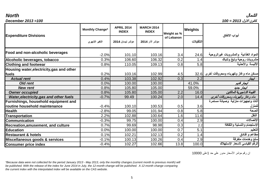| December $2013 = 100$                     |                        |                                   |                                   |             |           | كانون الإول 2013 = 100                             |
|-------------------------------------------|------------------------|-----------------------------------|-----------------------------------|-------------|-----------|----------------------------------------------------|
| <b>Expenditure Divisions</b>              | <b>Monthly Change*</b> | <b>APRIL 2014</b><br><b>INDEX</b> | <b>MARCH 2014</b><br><b>INDEX</b> | Weight as % | Weights   | أبواب الانفاق                                      |
|                                           | التغير الشهرى          | مؤشر نيسان 2014                   | مؤشر آذار 2014                    | of Lebanon  | التثقيلات |                                                    |
| Food and non-alcoholic beverages          | $-2.0%$                | 101.10                            | 103.16                            | 3.4         | 24.6      | المواد الغذائية والمشروبات غيرالروحية              |
| Alcoholic beverages, tobacco              | 0.3%                   | 106.60                            | 106.32                            | 0.2         | 1.4       | مشروبات روحية وتبغ وتنباك                          |
| <b>Clothing and footwear</b>              | 0.8%                   | 110.05                            | 109.13                            | 0.8         | 5.8       | الألبسة والأحذية                                   |
| Housing water, electricity, gas and other |                        |                                   |                                   |             |           |                                                    |
| fuels                                     | 0.2%                   | 103.16                            | 102.99                            | 4.5         |           | مسكن ماء وغاز وكهرباء ومحروقات أخرى $\,$ 32.6 $\,$ |
| <b>Actual rent</b>                        | 0.4%                   | 103.38                            | 102.92                            | 0.3         | 2.2       | ايجار                                              |
| <b>Old rent</b>                           | 0.0%                   | 100.00                            | 100.00                            |             | 41.0%     | ايجار قديم                                         |
| <b>New rent</b>                           | 0.8%                   | 105.80                            | 105.00                            |             | 59.0%     | ايجار جديد                                         |
| <b>Owner occupied</b>                     | 0.8%                   | 105.80                            | 105.00                            | 2.2         | 16.0      | القيمة التـاجيرية للمالكين                         |
| Water, electricity, gas and other fuels   | $-0.7%$                | 99.49                             | 100.24                            | 2.0         | 14.4      | ماء وغاز وكهرباء ومحروقات أخرى                     |
| Furnishings, household equipment and      |                        |                                   |                                   |             |           | أثاث وتجهيزات منزلية وصيانة مستمرة                 |
| routine household maintenance             | $-0.4%$                | 100.10                            | 100.53                            | 0.5         | 3.6       | للمنزل                                             |
| <b>Health</b>                             | $-2.8%$                | 99.05                             | 101.94                            | 0.8         | 5.8       | الصحة                                              |
| <b>Transportation</b>                     | 2.2%                   | 102.88                            | 100.64                            | 1.6         | 11.6      | النقل                                              |
| <b>Communication</b>                      | $-0.3%$                | 99.75                             | 100.00                            | 0.4         | 2.9       | الإتصالات                                          |
| Recreation, amusement, and culture        | 0.7%                   | 99.69                             | 98.98                             | 0.3         | 2.2       | الإستجمام والتسلية والثقافة                        |
| <b>Education</b>                          | 0.0%                   | 100.00                            | 100.00                            | 0.7         | 5.1       | التعليم                                            |
| <b>Restaurant &amp; hotels</b>            | 0.1%                   | 102.21                            | 102.13                            | 0.2         | 1.4       | مطاعم و فنادق                                      |
| Miscellaneous goods & services            | $-0.1%$                | 100.13                            | 100.26                            | 0.4         | 2.9       | سلع وخدمات متفرقة                                  |
| <b>Consumer price index</b>               | $-0.4%$                | 102.27                            | 102.66                            | 13.8        | 100.0     | الرقم القياسى لأسعار الإستهلاك                     |

ان رقم مؤشر الأسعار مدور على حد 1على 10000

*\*Because data were not collected for the period January 2013 - May 2013, only the monthly changes (current month to previous month) will be published. With the release of the index for June 2014 in July, the 12-month change will be publsihed. A 12-month change comparing the current index with the interpolated index will be available on the CAS website.*

### 5

*North*

الشمال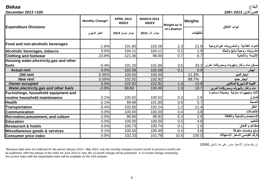البقاع *Bekaa*

| Dendd                                          |                        |                                   |                                   |                           |                | انبعا ح                               |
|------------------------------------------------|------------------------|-----------------------------------|-----------------------------------|---------------------------|----------------|---------------------------------------|
| December 2013=100                              |                        |                                   |                                   |                           |                | كانون الاول 2013 =100                 |
| <b>Expenditure Divisions</b>                   | <b>Monthly Change*</b> | <b>APRIL 2014</b><br><b>INDEX</b> | <b>MARCH 2014</b><br><b>INDEX</b> | Weight as %<br>of Lebanon | <b>Weights</b> | أبواب الانفاق                         |
|                                                | التغير الشهرى          | مؤشر نيسان 2014                   | مؤشر آذار 2014                    |                           | التثقبلات      |                                       |
| Food and non-alcoholic beverages               | $-1.6%$                | 101.65                            | 103.26                            | 2.3                       | 21.9           | المواد الغذائية والمشروبات غيرالروحية |
| Alcoholic beverages, tobacco                   | 0.0%                   | 104.11                            | 104.11                            | 0.2                       | 1.9            | مشروبات روحية وتبغ وتنباك             |
| <b>Clothing and footwear</b>                   | 23.8%                  | 121.36                            | 98.00                             | 0.7                       | 6.7            | الألبسة والأحذية                      |
| Housing water, electricity, gas and other      |                        |                                   |                                   |                           |                |                                       |
| fuels                                          | $-0.4%$                | 101.20                            | 101.66                            | 3.5                       | 33.3           | مسكن ماء وغاز وكهرباء ومحروقات أخرى   |
| <b>Actual rent</b>                             | 0.0%                   | 102.58                            | 102.58                            | 0.1                       | 0.9            | ايجار                                 |
| <b>Old rent</b>                                | 0.00%                  | 100.00                            | 100.00                            |                           | 11.3%          | ايجار قديم                            |
| <b>New rent</b>                                | 0.00%                  | 102.92                            | 102.92                            |                           | 88.7%          | ايجار جديد                            |
| <b>Owner occupied</b>                          | 0.0%                   | 102.92                            | 102.92                            | 1.4                       | 13.8           | القيمة التـاجيرية للمالكين            |
| <b>Water, electricity, gas and other fuels</b> | $-0.9%$                | 99.60                             | 100.49                            | 1.9                       | 18.7           | ماء وغاز وكهرباء ومحروقات أخرى        |
| Furnishings, household equipment and           |                        |                                   |                                   |                           |                | أثاث وتجهيزات منزلية وصيانة مستمرة    |
| routine household maintenance                  | 0.1%                   | 100.62                            | 100.52                            | 0.3                       | 2.9            | للمنزل                                |
| <b>Health</b>                                  | $-2.1%$                | 99.68                             | 101.80                            | 0.6                       | 5.7            | الصحة                                 |
| <b>Transportation</b>                          | 0.4%                   | 102.65                            | 102.24                            | 1.2                       | 11.4           | النقل                                 |
| <b>Communication</b>                           | 0.0%                   | 100.00                            | 100.00                            | 0.4                       | 3.8            | الاتصالات                             |
| Recreation, amusement, and culture             | 0.0%                   | 99.90                             | 99.92                             | 0.3                       | 2.9            | الإستجمام والتسلية والثقافة           |
| <b>Education</b>                               | 0.0%                   | 100.00                            | 100.00                            | 0.5                       | 4.8            | التعليم                               |
| <b>Restaurant &amp; hotels</b>                 | 0.0%                   | 100.73                            | 100.74                            | 0.1                       | 1.0            | مطاعم و فنادق                         |
| Miscellaneous goods & services                 | 0.1%                   | 100.55                            | 100.49                            | 0.4                       | 3.8            | سلع وخدمات متفرقة                     |
| <b>Consumer price index</b>                    | 0.5%                   | 102.33                            | 101.78                            | 10.5                      | 100.0          | الرقم القياسي لأسعار الإستهلاك        |

ان رقم مؤشر الأسعار مدور على حد 1على 10000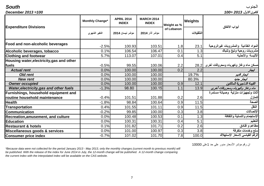الجنوب *South*

| December 2013=100                                  |                        |                                   |                                   |                           |           | كانون الاول 2013 =100                 |
|----------------------------------------------------|------------------------|-----------------------------------|-----------------------------------|---------------------------|-----------|---------------------------------------|
| <b>Expenditure Divisions</b>                       | <b>Monthly Change*</b> | <b>APRIL 2014</b><br><b>INDEX</b> | <b>MARCH 2014</b><br><b>INDEX</b> | Weight as %<br>of Lebanon | Weights   |                                       |
|                                                    | التغير الشهري          | مؤشر نيسان 2014                   | مؤشر آذار 2014                    |                           | التثقيلات | أبواب الانفاق                         |
| Food and non-alcoholic beverages                   | $-2.5%$                | 100.93                            | 103.51                            | 1.8                       | 23.1      | المواد الغذائية والمشروبات غيرالروحية |
| Alcoholic beverages, tobacco                       | 0.1%                   | 106.54                            | 106.47                            | 0.1                       | 1.3       | مشروبات روحية وتبغ وتنباك             |
| <b>Clothing and footwear</b>                       | 5.7%                   | 113.07                            | 107.01                            | 0.4                       | 5.1       | الألبسة والأحذية                      |
| Housing water, electricity, gas and other<br>fuels | $-0.5%$                | 99.55                             | 100.06                            | 2.2                       | 28.2      | مسكن ماء وغاز وكهرباء ومحروقات أخرى   |
| <b>Actual rent</b>                                 | 0.0%                   | 100.00                            | 100.00                            | 0.2                       | 2.2       | ايجار                                 |
| <b>Old rent</b>                                    | 0.0%                   | 100.00                            | 100.00                            |                           | 19.7%     | ايجار قديم                            |
| <b>New rent</b>                                    | 0.0%                   | 100.00                            | 100.00                            |                           | 80.3%     | ايجار جنيد                            |
| <b>Owner occupied</b>                              | 0.0%                   | 100.00                            | 100.00                            | 0.9                       | 12.1      | القيمة التـاجيرية للمالكين            |
| Water, electricity, gas and other fuels            | $-1.3%$                | 98.80                             | 100.15                            | 1.1                       | 13.9      | ماء وغاز وكهرباء ومحروقات أخرى        |
| Furnishings, household equipment and               |                        |                                   |                                   |                           |           | أثاث وتجهيزات منزلية وصيانة مستمرة    |
| <b>Iroutine household maintenance</b>              | $-0.4%$                | 101.51                            | 101.88                            | 0.2                       | 2.6       | للمنزل                                |
| <b>Health</b>                                      | $-1.8%$                | 98.84                             | 100.64                            | 0.9                       | 11.5      | الصحة                                 |
| <b>Transportation</b>                              | 0.4%                   | 101.55                            | 101.11                            | 0.9                       | 11.5      | النقل                                 |
| <b>Communication</b>                               | $-0.2%$                | 99.85                             | 100.00                            | 0.3                       | 3.8       | الاتصالات                             |
| <b>Recreation, amusement, and culture</b>          | 0.0%                   | 100.48                            | 100.53                            | 0.1                       | 1.3       | الإستجمام والتسلية والثقافة           |
| <b>Education</b>                                   | 0.0%                   | 100.31                            | 100.31                            | 0.4                       | 5.1       | التعليم                               |
| <b>Restaurant &amp; hotels</b>                     | 0.1%                   | 101.82                            | 101.71                            | 0.2                       | 2.6       | مطاعم و فنادق                         |
| Miscellaneous goods & services                     | 0.0%                   | 101.00                            | 100.97                            | 0.3                       | 3.8       | سلع وخدمات متفرقة                     |
| <b>Consumer price index</b>                        | $-0.7%$                | 101.02                            | 101.70                            | 7.8                       | 100.0     | الرقم القياسي لأسعار الإستهلاك        |

ان رقم مؤشر الأسعار مدور على حد 1على 10000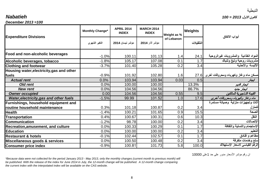*December 2013 =100*

| $D$ eceniber zu is $=100$                          |                        |                                   |                                   |             |           |                                       |
|----------------------------------------------------|------------------------|-----------------------------------|-----------------------------------|-------------|-----------|---------------------------------------|
|                                                    | <b>Monthly Change*</b> | <b>APRIL 2014</b><br><b>INDEX</b> | <b>MARCH 2014</b><br><b>INDEX</b> | Weight as % | Weights   | أبواب الانفاق                         |
| <b>Expenditure Divisions</b>                       | التغير الشهري          | مؤشر نيسان 2014                   | مؤشر آذار 2014                    | of Lebanon  | التثقيلات |                                       |
| Food and non-alcoholic beverages                   | $-1.0%$                | 100.11                            | 101.13                            | 1.4         | 24.1      | المواد الغذائية والمشروبات غيرالروحية |
| Alcoholic beverages, tobacco                       | $-1.8%$                | 105.17                            | 107.08                            | 0.1         | 1.7       | مشروبات روحية وتبغ وتنباك             |
| <b>Clothing and footwear</b>                       | $-3.7%$                | 101.40                            | 105.28                            | 0.2         | 3.4       | الألبسة والأحذية                      |
| Housing water, electricity, gas and other<br>fuels | $-0.9%$                | 101.92                            | 102.80                            | 1.6         | 27.6      | مسكن ماء وغاز وكهرباء ومحروقات أخرى   |
| <b>Actual rent</b>                                 | 0.0%                   | 103.94                            | 103.94                            | 0.03        | 0.5       | ايجار                                 |
| <b>Old rent</b>                                    | 0.0%                   | 100.00                            | 100.00                            |             | 13.3%     | ايجار قديم                            |
| <b>New rent</b>                                    | 0.0%                   | 104.56                            | 104.56                            |             | 86.7%     | ايجار جديد                            |
| <b>Owner occupied</b>                              | 0.00                   | 104.56                            | 104.56                            | 0.55        | 9.5       | القيمة التـاجيرية للمالكين            |
| Water, electricity, gas and other fuels            | $-1.5%$                | 99.99                             | 101.52                            | 1.0         | 17.6      | ماء وغاز وكهرباء ومحروقات أخرى        |
| Furnishings, household equipment and               |                        |                                   |                                   |             |           | أثاث وتجهيزات منزلية وصيانة مستمرة    |
| routine household maintenance                      | 0.3%                   | 101.18                            | 100.87                            | 0.2         | 3.4       | للمنزل                                |
| <b>Health</b>                                      | $-1.4%$                | 100.21                            | 101.65                            | 0.9         | 15.5      | لصحة                                  |
| <b>Transportation</b>                              | 0.4%                   | 100.67                            | 100.31                            | 0.6         | 10.3      | النقل                                 |
| <b>Communication</b>                               | $-1.2%$                | 98.78                             | 100.00                            | 0.2         | 3.4       | الإتصالات                             |
| <b>Recreation, amusement, and culture</b>          | 0.0%                   | 100.33                            | 100.29                            | 0.1         | 1.7       | الإستجمام والتسلية والثقافة           |
| <b>Education</b>                                   | 0.0%                   | 100.00                            | 100.00                            | 0.2         | 3.4       | لتعليم                                |
| <b>Restaurant &amp; hotels</b>                     | $-0.1%$                | 102.44                            | 102.57                            | 0.1         | 1.7       | مطاعم و فنادق                         |

**سلع وخدمات متفرقة** 3.4 0.2 100.48 100.50 0.0% **services & goods Miscellaneous Consumer price index 100.9% 100.81 101.73 5.8 100.0 Consumer** price index 100.0

*\*Because data were not collected for the period January 2013 - May 2013, only the monthly changes (current month to previous month) will be published. With the release of the index for June 2014 in July, the 12-month change will be publsihed. A 12-month change comparing the current index with the interpolated index will be available on the CAS website.*

ان رقم مؤشر الأسعار مدور على حد 1على 10000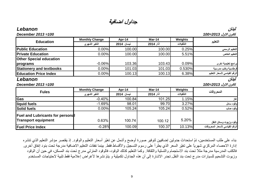# جداول اضافية

**Public Education** 100.00% 100.00 100.00 100.00 0.25% **Private Education** 100.00% 100.00 100.00 100.00 5.51%

**Monthly Change Apr-14 Mar-14 Weights التثقيلات آذار 2014 نيسان 2014 التغير الشهري**

**التعليم Education**

# لبنان *Lebanon*

| $-0.06%$              |            |           | 0.09%                                                                                 | برامج تعليمية اخرى             |
|-----------------------|------------|-----------|---------------------------------------------------------------------------------------|--------------------------------|
| 0.00%                 |            |           | 0.530%                                                                                | قرطاسية وكتب مدرسية            |
| 0.00%                 |            |           | 6.38%                                                                                 | الرقم القياسي لأسعار التعليم   |
|                       |            |           |                                                                                       | لبنان                          |
|                       |            |           |                                                                                       | كانون الإول 2013=100           |
| <b>Monthly Change</b> | Apr-14     | Mar-14    | Weights                                                                               | المحروقات                      |
| التغير الشهري         | نيسان 2014 | آذار 2014 | التثقيلات                                                                             |                                |
| $-0.40%$              | 100.84     |           | 1.15%                                                                                 | غاز                            |
| $-1.69%$              | 98.01      |           | 3.27%                                                                                 | وقود سائل                      |
| 0.00%                 |            | 105.24    | 0.52%                                                                                 | وقود صلب                       |
|                       |            |           |                                                                                       |                                |
| 0.63%                 | 100.74     | 100.12    | 5.20%                                                                                 | وقود وزيوت وسائل النقل         |
| $-0.28%$              | 100.09     | 100.37    | 10.13%                                                                                | الرقم القياسي لأسعار المحروقات |
|                       |            |           | 103.36<br>103.43<br>101.03<br>101.03<br>100.13<br>100.13<br>101.25<br>99.70<br>105.24 |                                |

بناء على طلب المستخدمين، تمّ استحداث جدولين إضافيين لتوفير صورة أوضح وأشمل عن تغيّر أسعار التعليم والوقود. إذ يقتصر مؤشر التعليم الذي تنشره إدارة الاحصاء المركزي شهرياً على تغيّر السعر الذي يطرأ على رسوم التسجيل والأقساط فقط. بينما نفقات التعليم الاضافية مدرجة تحت بنود إنفاق أخرى. فالكتب المدرسية مدرجة مثلاً تحت بند الاستجمام والتسلية والثقافة. وكما التعليم كذلك الوقود، فالوقود المنزلي مدرج تحت بند المسكن، في حين أن الوقود وزيوت التشحيم للسيارات مدرج تحت بند النقل.تجدر الاشارة إلى أن هذه الجداول تكميلية و يتمّ نشرها لأغراض إعلامية فقط تلبية لاحتياجات المستخدم

## **التعليم الرسمي التعليم الخاص**

كانون الاول *2013=100 100= 2013 December*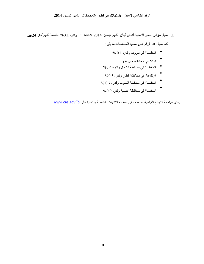# **الرقم القياسي لاسعار الاستهلاك في لبنان والمحافظات لشهر نيسان 2014**

- **1.** سجل مؤشر اسعار الاستهلاك في لبنان لشهر نيسان 2014 انخفاضا" وقدره %0.1 بالنسبة لشهر آذار **,**<sup>2014</sup> كما سجل هذا الرقم على صعيد المحافظات ما يلي :
	- انخفضا" في بیروت وقدره 0.1 %
		- . ثباتا" في محافظة جبل لبنان
	- انخفضا" في محافظة الشمال وقدره %0.4
	- ارتفاعا" في محافظة البقاع وقدره %0.5
	- انخفضا" في محافظة الجنوب وقدره 0.7 %
	- انخفضا" في محافظة النبطیة وقدره %0.9

*<sup>U</sup>* يمكن مراجعة الارقام القياسية السابقة على صفحة الانترنت الخاصة بالادارة على[lb.gov.cas.](http://www.cas.gov.lb/)*U*www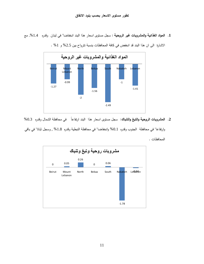**.1 المواد الغذائية والمشروبات غير الروحية** : سجل مستوى اسعار هذا البند انخفاضا" في لبنان وقدره ,%1.4 مع



الاشارة الى ان هذا البند قد انخفض في كافة المحافظات بنسبة تترواح بين %2.5 و %1 .

ً في محافظة الشمال وقدره %0.3 **.2 المشروبات الروحية والتبغ والتنباك:** سجل مستوى اسعار هذا البند ارتفاعا وارتفاعا" في محافظة الجنوب وقدره %0.1 وانخفاضا" في محافظة النبطية وقدره %1.8 , وسجل ثباتا" في باقي المحافظات .

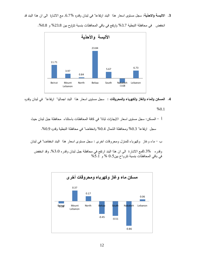**.3 الالبسة والاحذية:** سجل مستوى اسعار هذا البند ارتفاعا" في لبنان وقدره ,6.7% مع الاشارة الى ان هذا البند قد



انخفض في محافظة النبطية 3.7% وارتفع في باقي المحافظات بنسبة تتراوح بين 23.8% و 0.8%.

**.4 المسكن والماء والغاز والكهرباء والمحروقات :** سجل مستوى اسعار هذا البند اجماليا" ارتفاعا" في لبنان وقدره

%0.1

أ - المسكن: سجل مستوى اسعار الايجارات ثباتا" في كافة المحافظات باستثناء محافظة جبل لبنان حيث

سجل ارتفاعا" %0.3 ومحافظة الشمال %0.4 وانخفاضا" في محافظة النبطية وقدره .%0.9

ب - ماء وغاز وكهرباء للمنزل ومحروقات اخرى : سجل مستوى اسعار هذا البند انخفاضا" في لبنان

وقدره 0.3%مع الاشارة الى ان هذا البند ارتفع في محافظة جبل لبنان وقدره ,%3.0 وقد انخفض في باقي المحافظات بنسبة تترواح بین0.5 % و %5.1

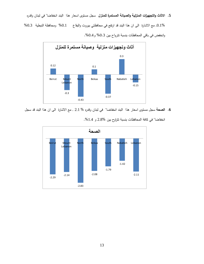**.5 الاثاث والتجهيزات المنزلية والصيانة المستمرة للمنزل** سجل مستوى اسعار هذا البند انخفاضا" في لبنان وقدره

,0.1% مع الاشارة الى ان هذا البند قد ارتفع في محافظتي بيروت والبقاع %0.1 ومحافظة النبطية %0.3 وانخفض في باقي المحافظات بنسبة تترواح بين 0.3% و0.4%.



**.6 الصحة** سجل مستوى اسعار هذا البند انخفاضا" في لبنان وقدره % 2.1 , مع الاشارة الى ان هذا البند قد سجل



انخفاضا" في كافة المحافظات بنسبة تتراوح بين 2.8% و 1.4%.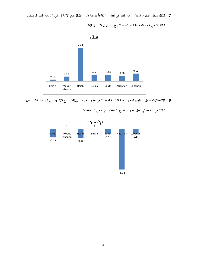7. ا**لنقل** سجل مستوى اسعار هذا البند في لبنان ارتفاعاً بنسبة % 0.5 ,مع الاشارة الى ان هذا البند قد سجل



ارتفاعا" في كافة المحافظات بنسبة تتراوح بين %2.2 و .%0.1

**.8 الاتصالات** سجل مستوى اسعار هذا البند انخفاضا" في لبنان وقدره %0.1 مع الاشارة الى ان هذا البند سجل

ثباتا" في محافظتي جبل لبنان والبقاع وانخفض في باقي المحافظات.

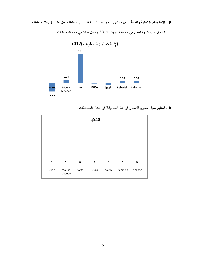ً في محافظة جبل لبنان %0.1 ومحافظة **.9 الاستجمام والتسلية والثقافة** سجل مستوى اسعار هذا البند ارتفاعا



الشمال %0.7 وانخفض في محافظة بيروت %0.2 وسجل ثباتا" في كافة المحافظات .

**.10 التعليم** سجل مستوى الأسعار في هذا البند ثباتا" في كافة المحافظات .

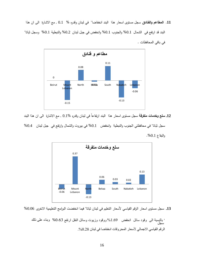**.11 المطاعم والفنادق** سجل مستوى اسعار هذا البند انخفاضا" في لبنان وقدره % 0.1 , مع الاشارة الى ان هذا البند قد ارتفع في الشمال %0.1 والجنوب %0.1 وانخفض في جبل لبنان %0.2 والنبطية %0.1 وسجل ثباتا" في باقي المحافظات .



12. **سلع وخدمات متفرقة** سجل مستوى اسعار هذا البند ارتفاعاً في لبنان وقدره %0.1 , مع الاشارة الى ان هذا البند سجل ثباتا" في محافظتي الجنوب والنبطية وانخفض %0.1 في بيروت والشمال وارتفع في جبل لبنان %0.4 والبقاع .%0.1



**13.** سجل مستوى اسعار الرقم القياسي لأسعار التعليم في لبنان ثباتا" فيما انخفضت البرامج التعليمية الاخرى %0.06

 بالنسبة الى وقود سائل انخفض %1.69 ووقود وزیوت وسائل النقل ارتفع %0.63 وبناء على ذلك سجل , الرقم القياسي الاجمالي لأسعار المحروقات انخفاضا في لبنان 0.28%.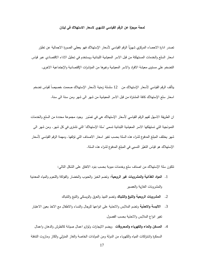## **لمحة موجزة عن الرقم القياسي الشهري لاسعار الاستهلاك في لبنان**

تصدر ادارة الاحصاء المركزي شهريًا الرقم القياسي لأسعار الإستهلاك فهو يعطي الصورة الاجمالية عن تطوّر اسعار السلع والخدمات المستهلكة من قبل الاسر المعيشية اللبنانية ويستخدم في تحليل الاداء الاقتصادي عبر قياس التضخم على مستوى معيشة الافراد والاسر المعيشية وغيرها من المؤشرات الإقتصادية والإجتماعية الاخرى.

يتألف الرقم القياسي لأسعار الإستهلاك من  $1$  سلسلة زمنية لأسعار الإستهلاك صممت خصيصاً لقياس تضخم اسعار سلع الإستهلاك كافة المشتراة من قبل الاسر المعيشية من شهر الى شهر ومن سنة الى سنة.

ان الطريقة الاسهل لفهم الرقم القياسي لأسعار الإستهلاك هي في تصّور وجود مجموعة محددة من السلع والخدمات النموذجية التي تستهلكها الاسر المعيشية اللبنانية تسمى "سلة الإستهلاك" التي تشترى في كل شهر. ومن شهر الى شهر يختلف المبلغ المدفوع لشراء هذه السلة بحسب تغير اسعار الاصناف التي تؤلفها. ومهمة الرقم القياسي لأسعار الإستهلاك هو قياس التغيّر النسبي في المبلغ المدفوع لشراء هذه السلة.

تتكون سلة الإستهلاك من اصناف سلع وخدمات مبوبة بحسب بنود الانفاق على الشكل التالي:

- .1 **المواد الغذائية والمشروبات غير الروحية**: وتضم الخبز والحبوب والخضار والفواكة واللحوم والمياه المعدنية والمشروبات الغازية والعصير
	- .2 **المشروبات الروحية والتبغ والتنباك** وتضم النبيذ والعرق والويسكي والتبغ والتنباك
- .3 **الالبسة والاحذية** وتضم الملابس والاحذية على انواعها للرجال والنساء والاطفال مع الاخذ بعين الاعتبار تغير انواع الملابس والاحذية بحسب الفصول
- .4 **المسكن والماء والكهرباء والمحروقات** ويضم الايجارات ولوازم اعمال صيانة كالطرش والدهان واعمال السمكرة واشتراكات المياه والكهرباء من الدولة ومن المولدات الخاصة والغاز المنزلي والكاز ومازوت التدفئة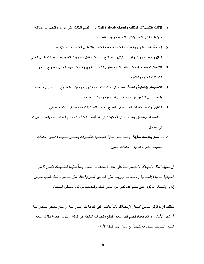- .5 **الاثاث والتجهيزات المنزلية والصيانة المستمرة للمنزل** وتضم الاثاث على انواعه والتجهيزات المنزلية كالادوات الكهربائية والاواني الزجاجية ومواد التنظيف
	- .6 **الصحة** وتضم الدواء والخدمات الطبية كمعاينة الطبيب والتحاليل الطبية وصور الاشعة
- .7 **النقل** ويضم السيارات والوقود كالبنزين واصلاح السيارات والنقل بالسيارات العمومية والباصات والنقل الجوي
	- .8 **الاتصالات** وتضم خدمات الاتصالات كالتلفون الثابث والخلوي وخدمات البريد العادي والسريع واسعار التلفونات العادية والخلوية
	- .9 **الاستجمام والتسلية والثقافة** وتضم الرحلات الداخلية والخارجية والسينما والمسارح والكمبيوتر ومتمماته والكتب على انواعها من مدرسية وادبية وعلمية ومجلات وصحف.
		- .10 **التعليم** وتضم الاقساط التعليمية في القطاع الخاص للمستويات كافة بما فيها التعليم المهني
- .11 **، المطاعم والفنادق** وتضم أسعار المأكولات في المطاعم كالسناك والمطاعم المتخصصة وأسعار المبيت في الفنادق
	- .12 ، **سلع وخدمات متفرقة** وتضم سلع العناية الشخصية كالعطورات ومعجون تنظيف الأسنان وخدمات تصفيف الشعر والماكياج وخدمات التأمين.

ان شمولية سلة الإستهلاك لا تقتصر فقط على عدد الأصناف بل نشمل أيضا تمثيلها للإستهلاك الفعلي للأسر المعيشية بفئاتها الإقتصادية والإجتماعية وتوزعها على المناطق الجغرافية كافة على حد سواء. لهذا السبب تحرص إدارة الإحصاء المركزي على جمع عدد كبير من أسعار السلع والخدمات من كل المناطق اللبنانية.

نتطلب قراءة الرقم القياسي لأسعار الإستهلاك تأنيا خاصـا. ففي البداية يتم إختيار سنة أو شهر معينين يسميان سنة أو شهر الأساس أو المرجعية، تجمع فيها أسعار السلع والخدمات الداخلة في السلة و تتم من بعدها مقارنة أسعار السلع والخدمات المجموعة شهريا مع أسعار هذه السلة الأساس.